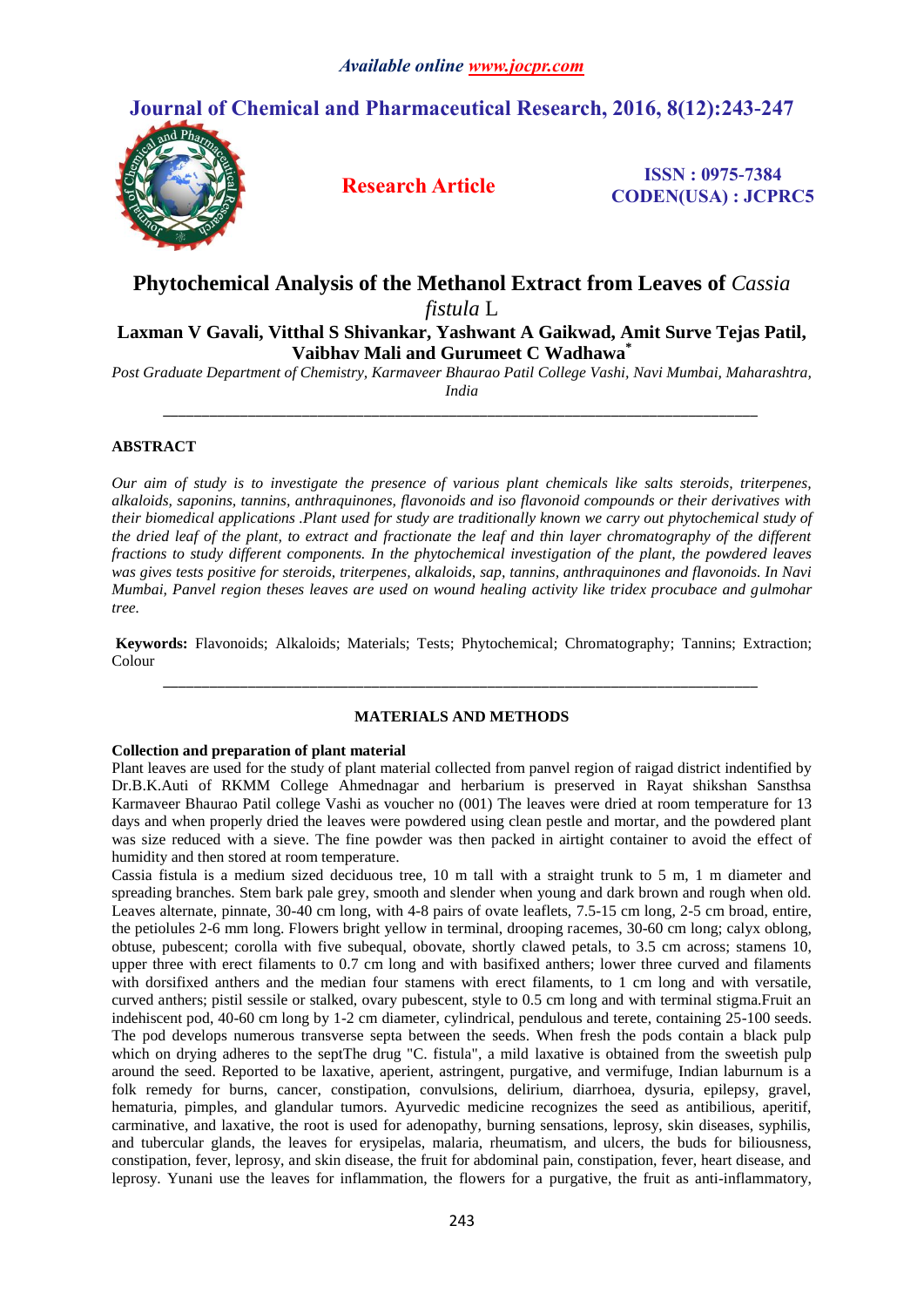# **Journal of Chemical and Pharmaceutical Research, 2016, 8(12):243-247**



**Research Article ISSN : 0975-7384 CODEN(USA) : JCPRC5**

## **Phytochemical Analysis of the Methanol Extract from Leaves of** *Cassia fistula* L

**Laxman V Gavali, Vitthal S Shivankar, Yashwant A Gaikwad, Amit Surve Tejas Patil, Vaibhav Mali and Gurumeet C Wadhawa\***

*Post Graduate Department of Chemistry, Karmaveer Bhaurao Patil College Vashi, Navi Mumbai, Maharashtra, India \_\_\_\_\_\_\_\_\_\_\_\_\_\_\_\_\_\_\_\_\_\_\_\_\_\_\_\_\_\_\_\_\_\_\_\_\_\_\_\_\_\_\_\_\_\_\_\_\_\_\_\_\_\_\_\_\_\_\_\_\_\_\_\_\_\_\_\_\_\_\_\_\_\_\_\_\_*

### **ABSTRACT**

*Our aim of study is to investigate the presence of various plant chemicals like salts steroids, triterpenes, alkaloids, saponins, tannins, anthraquinones, flavonoids and iso flavonoid compounds or their derivatives with their biomedical applications .Plant used for study are traditionally known we carry out phytochemical study of the dried leaf of the plant, to extract and fractionate the leaf and thin layer chromatography of the different fractions to study different components. In the phytochemical investigation of the plant, the powdered leaves was gives tests positive for steroids, triterpenes, alkaloids, sap, tannins, anthraquinones and flavonoids. In Navi Mumbai, Panvel region theses leaves are used on wound healing activity like tridex procubace and gulmohar tree.*

**Keywords:** Flavonoids; Alkaloids; Materials; Tests; Phytochemical; Chromatography; Tannins; Extraction; Colour *\_\_\_\_\_\_\_\_\_\_\_\_\_\_\_\_\_\_\_\_\_\_\_\_\_\_\_\_\_\_\_\_\_\_\_\_\_\_\_\_\_\_\_\_\_\_\_\_\_\_\_\_\_\_\_\_\_\_\_\_\_\_\_\_\_\_\_\_\_\_\_\_\_\_\_\_\_*

#### **MATERIALS AND METHODS**

#### **Collection and preparation of plant material**

Plant leaves are used for the study of plant material collected from panvel region of raigad district indentified by Dr.B.K.Auti of RKMM College Ahmednagar and herbarium is preserved in Rayat shikshan Sansthsa Karmaveer Bhaurao Patil college Vashi as voucher no (001) The leaves were dried at room temperature for 13 days and when properly dried the leaves were powdered using clean pestle and mortar, and the powdered plant was size reduced with a sieve. The fine powder was then packed in airtight container to avoid the effect of humidity and then stored at room temperature.

Cassia fistula is a medium sized deciduous tree, 10 m tall with a straight trunk to 5 m, 1 m diameter and spreading branches. Stem bark pale grey, smooth and slender when young and dark brown and rough when old. Leaves alternate, pinnate, 30-40 cm long, with 4-8 pairs of ovate leaflets, 7.5-15 cm long, 2-5 cm broad, entire, the petiolules 2-6 mm long. Flowers bright yellow in terminal, drooping racemes, 30-60 cm long; calyx oblong, obtuse, pubescent; corolla with five subequal, obovate, shortly clawed petals, to 3.5 cm across; stamens 10, upper three with erect filaments to 0.7 cm long and with basifixed anthers; lower three curved and filaments with dorsifixed anthers and the median four stamens with erect filaments, to 1 cm long and with versatile, curved anthers; pistil sessile or stalked, ovary pubescent, style to 0.5 cm long and with terminal stigma.Fruit an indehiscent pod, 40-60 cm long by 1-2 cm diameter, cylindrical, pendulous and terete, containing 25-100 seeds. The pod develops numerous transverse septa between the seeds. When fresh the pods contain a black pulp which on drying adheres to the septThe drug "C. fistula", a mild laxative is obtained from the sweetish pulp around the seed. Reported to be laxative, aperient, astringent, purgative, and vermifuge, Indian laburnum is a folk remedy for burns, cancer, constipation, convulsions, delirium, diarrhoea, dysuria, epilepsy, gravel, hematuria, pimples, and glandular tumors. Ayurvedic medicine recognizes the seed as antibilious, aperitif, carminative, and laxative, the root is used for adenopathy, burning sensations, leprosy, skin diseases, syphilis, and tubercular glands, the leaves for erysipelas, malaria, rheumatism, and ulcers, the buds for biliousness, constipation, fever, leprosy, and skin disease, the fruit for abdominal pain, constipation, fever, heart disease, and leprosy. Yunani use the leaves for inflammation, the flowers for a purgative, the fruit as anti-inflammatory,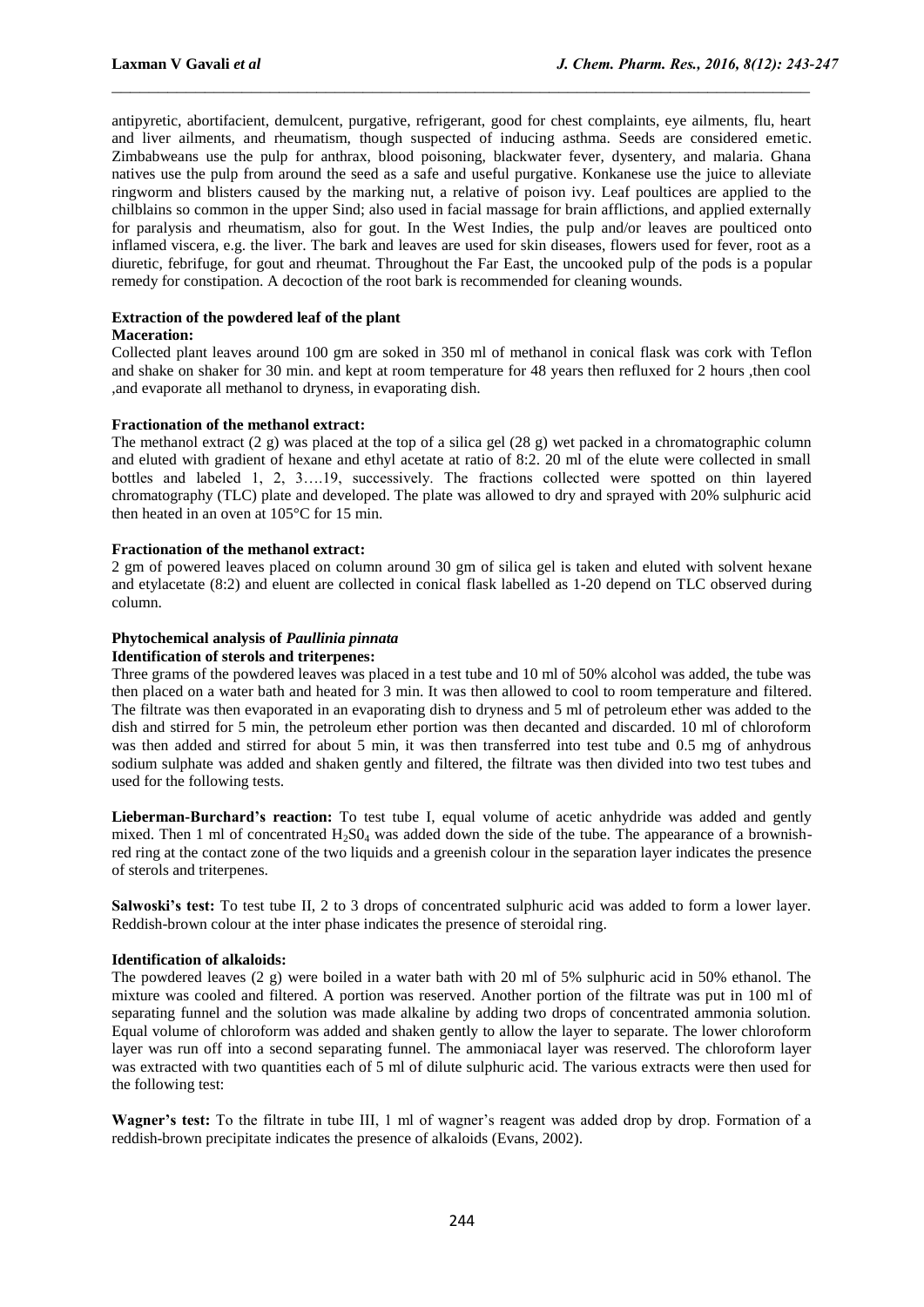antipyretic, abortifacient, demulcent, purgative, refrigerant, good for chest complaints, eye ailments, flu, heart and liver ailments, and rheumatism, though suspected of inducing asthma. Seeds are considered emetic. Zimbabweans use the pulp for anthrax, blood poisoning, blackwater fever, dysentery, and malaria. Ghana natives use the pulp from around the seed as a safe and useful purgative. Konkanese use the juice to alleviate ringworm and blisters caused by the marking nut, a relative of poison ivy. Leaf poultices are applied to the chilblains so common in the upper Sind; also used in facial massage for brain afflictions, and applied externally for paralysis and rheumatism, also for gout. In the West Indies, the pulp and/or leaves are poulticed onto inflamed viscera, e.g. the liver. The bark and leaves are used for skin diseases, flowers used for fever, root as a diuretic, febrifuge, for gout and rheumat. Throughout the Far East, the uncooked pulp of the pods is a popular remedy for constipation. A decoction of the root bark is recommended for cleaning wounds.

 $\_$  , and the contribution of the contribution of  $\mathcal{L}_\mathcal{A}$  , and the contribution of  $\mathcal{L}_\mathcal{A}$ 

#### **Extraction of the powdered leaf of the plant**

#### **Maceration:**

Collected plant leaves around 100 gm are soked in 350 ml of methanol in conical flask was cork with Teflon and shake on shaker for 30 min. and kept at room temperature for 48 years then refluxed for 2 hours ,then cool ,and evaporate all methanol to dryness, in evaporating dish.

#### **Fractionation of the methanol extract:**

The methanol extract (2 g) was placed at the top of a silica gel (28 g) wet packed in a chromatographic column and eluted with gradient of hexane and ethyl acetate at ratio of 8:2. 20 ml of the elute were collected in small bottles and labeled 1, 2, 3….19, successively. The fractions collected were spotted on thin layered chromatography (TLC) plate and developed. The plate was allowed to dry and sprayed with 20% sulphuric acid then heated in an oven at 105°C for 15 min.

#### **Fractionation of the methanol extract:**

2 gm of powered leaves placed on column around 30 gm of silica gel is taken and eluted with solvent hexane and etylacetate (8:2) and eluent are collected in conical flask labelled as 1-20 depend on TLC observed during column.

#### **Phytochemical analysis of** *Paullinia pinnata*

#### **Identification of sterols and triterpenes:**

Three grams of the powdered leaves was placed in a test tube and 10 ml of 50% alcohol was added, the tube was then placed on a water bath and heated for 3 min. It was then allowed to cool to room temperature and filtered. The filtrate was then evaporated in an evaporating dish to dryness and 5 ml of petroleum ether was added to the dish and stirred for 5 min, the petroleum ether portion was then decanted and discarded. 10 ml of chloroform was then added and stirred for about 5 min, it was then transferred into test tube and 0.5 mg of anhydrous sodium sulphate was added and shaken gently and filtered, the filtrate was then divided into two test tubes and used for the following tests.

**Lieberman-Burchard's reaction:** To test tube I, equal volume of acetic anhydride was added and gently mixed. Then 1 ml of concentrated  $H_2S0_4$  was added down the side of the tube. The appearance of a brownishred ring at the contact zone of the two liquids and a greenish colour in the separation layer indicates the presence of sterols and triterpenes.

**Salwoski's test:** To test tube II, 2 to 3 drops of concentrated sulphuric acid was added to form a lower layer. Reddish-brown colour at the inter phase indicates the presence of steroidal ring.

#### **Identification of alkaloids:**

The powdered leaves (2 g) were boiled in a water bath with 20 ml of 5% sulphuric acid in 50% ethanol. The mixture was cooled and filtered. A portion was reserved. Another portion of the filtrate was put in 100 ml of separating funnel and the solution was made alkaline by adding two drops of concentrated ammonia solution. Equal volume of chloroform was added and shaken gently to allow the layer to separate. The lower chloroform layer was run off into a second separating funnel. The ammoniacal layer was reserved. The chloroform layer was extracted with two quantities each of 5 ml of dilute sulphuric acid. The various extracts were then used for the following test:

**Wagner's test:** To the filtrate in tube III, 1 ml of wagner's reagent was added drop by drop. Formation of a reddish-brown precipitate indicates the presence of alkaloids (Evans, 2002).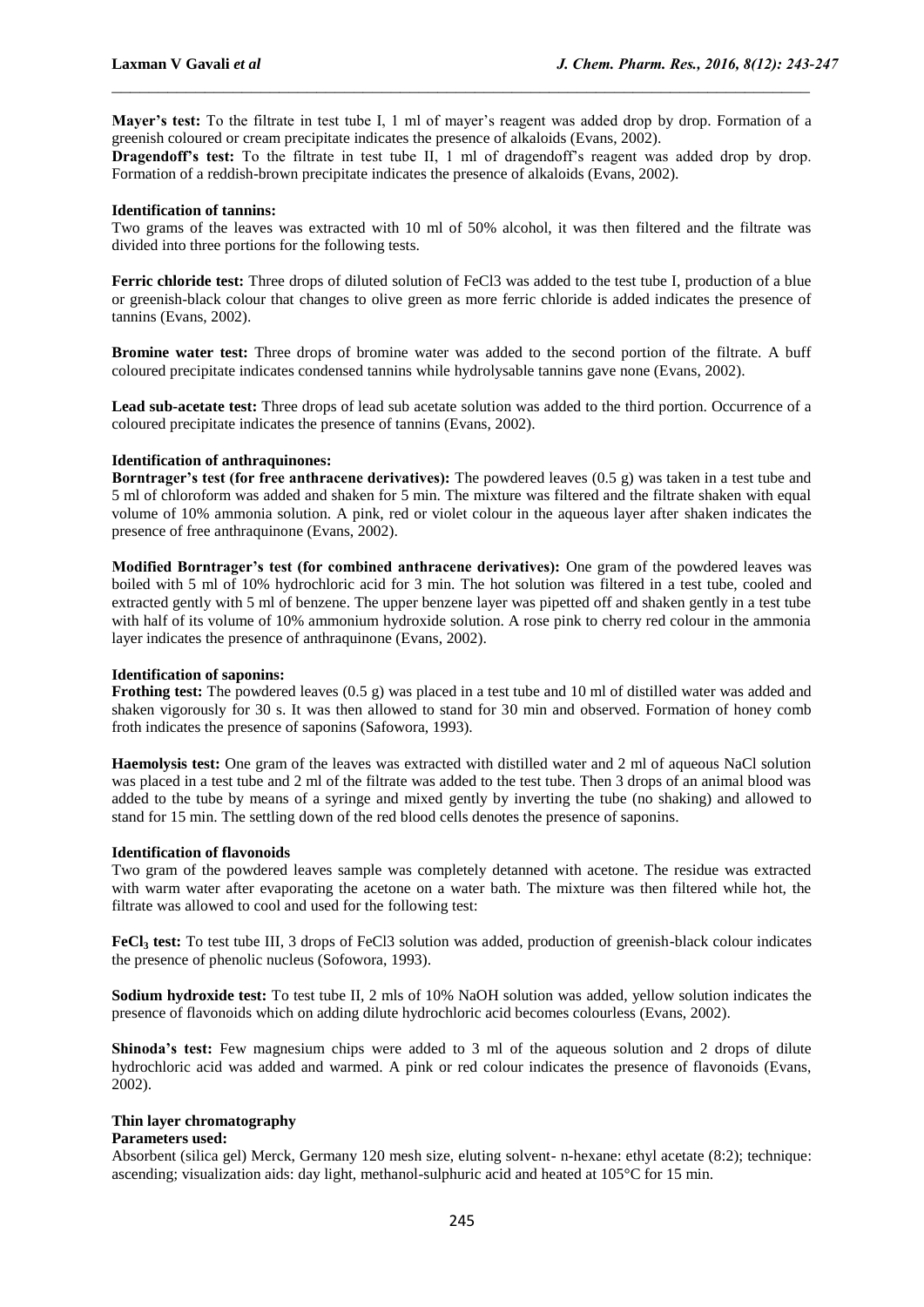**Mayer's test:** To the filtrate in test tube I, 1 ml of mayer's reagent was added drop by drop. Formation of a greenish coloured or cream precipitate indicates the presence of alkaloids (Evans, 2002).

 $\_$  , and the contribution of the contribution of  $\mathcal{L}_\mathcal{A}$  , and the contribution of  $\mathcal{L}_\mathcal{A}$ 

**Dragendoff's test:** To the filtrate in test tube II, 1 ml of dragendoff's reagent was added drop by drop. Formation of a reddish-brown precipitate indicates the presence of alkaloids (Evans, 2002).

#### **Identification of tannins:**

Two grams of the leaves was extracted with 10 ml of 50% alcohol, it was then filtered and the filtrate was divided into three portions for the following tests.

**Ferric chloride test:** Three drops of diluted solution of FeCl3 was added to the test tube I, production of a blue or greenish-black colour that changes to olive green as more ferric chloride is added indicates the presence of tannins (Evans, 2002).

**Bromine water test:** Three drops of bromine water was added to the second portion of the filtrate. A buff coloured precipitate indicates condensed tannins while hydrolysable tannins gave none (Evans, 2002).

**Lead sub-acetate test:** Three drops of lead sub acetate solution was added to the third portion. Occurrence of a coloured precipitate indicates the presence of tannins (Evans, 2002).

#### **Identification of anthraquinones:**

**Borntrager's test (for free anthracene derivatives):** The powdered leaves (0.5 g) was taken in a test tube and 5 ml of chloroform was added and shaken for 5 min. The mixture was filtered and the filtrate shaken with equal volume of 10% ammonia solution. A pink, red or violet colour in the aqueous layer after shaken indicates the presence of free anthraquinone (Evans, 2002).

**Modified Borntrager's test (for combined anthracene derivatives):** One gram of the powdered leaves was boiled with 5 ml of 10% hydrochloric acid for 3 min. The hot solution was filtered in a test tube, cooled and extracted gently with 5 ml of benzene. The upper benzene layer was pipetted off and shaken gently in a test tube with half of its volume of 10% ammonium hydroxide solution. A rose pink to cherry red colour in the ammonia layer indicates the presence of anthraquinone (Evans, 2002).

#### **Identification of saponins:**

**Frothing test:** The powdered leaves (0.5 g) was placed in a test tube and 10 ml of distilled water was added and shaken vigorously for 30 s. It was then allowed to stand for 30 min and observed. Formation of honey comb froth indicates the presence of saponins (Safowora, 1993).

**Haemolysis test:** One gram of the leaves was extracted with distilled water and 2 ml of aqueous NaCl solution was placed in a test tube and 2 ml of the filtrate was added to the test tube. Then 3 drops of an animal blood was added to the tube by means of a syringe and mixed gently by inverting the tube (no shaking) and allowed to stand for 15 min. The settling down of the red blood cells denotes the presence of saponins.

#### **Identification of flavonoids**

Two gram of the powdered leaves sample was completely detanned with acetone. The residue was extracted with warm water after evaporating the acetone on a water bath. The mixture was then filtered while hot, the filtrate was allowed to cool and used for the following test:

**FeCl<sup>3</sup> test:** To test tube III, 3 drops of FeCl3 solution was added, production of greenish-black colour indicates the presence of phenolic nucleus (Sofowora, 1993).

**Sodium hydroxide test:** To test tube II, 2 mls of 10% NaOH solution was added, yellow solution indicates the presence of flavonoids which on adding dilute hydrochloric acid becomes colourless (Evans, 2002).

**Shinoda's test:** Few magnesium chips were added to 3 ml of the aqueous solution and 2 drops of dilute hydrochloric acid was added and warmed. A pink or red colour indicates the presence of flavonoids (Evans, 2002).

#### **Thin layer chromatography**

#### **Parameters used:**

Absorbent (silica gel) Merck, Germany 120 mesh size, eluting solvent- n-hexane: ethyl acetate (8:2); technique: ascending; visualization aids: day light, methanol-sulphuric acid and heated at 105°C for 15 min.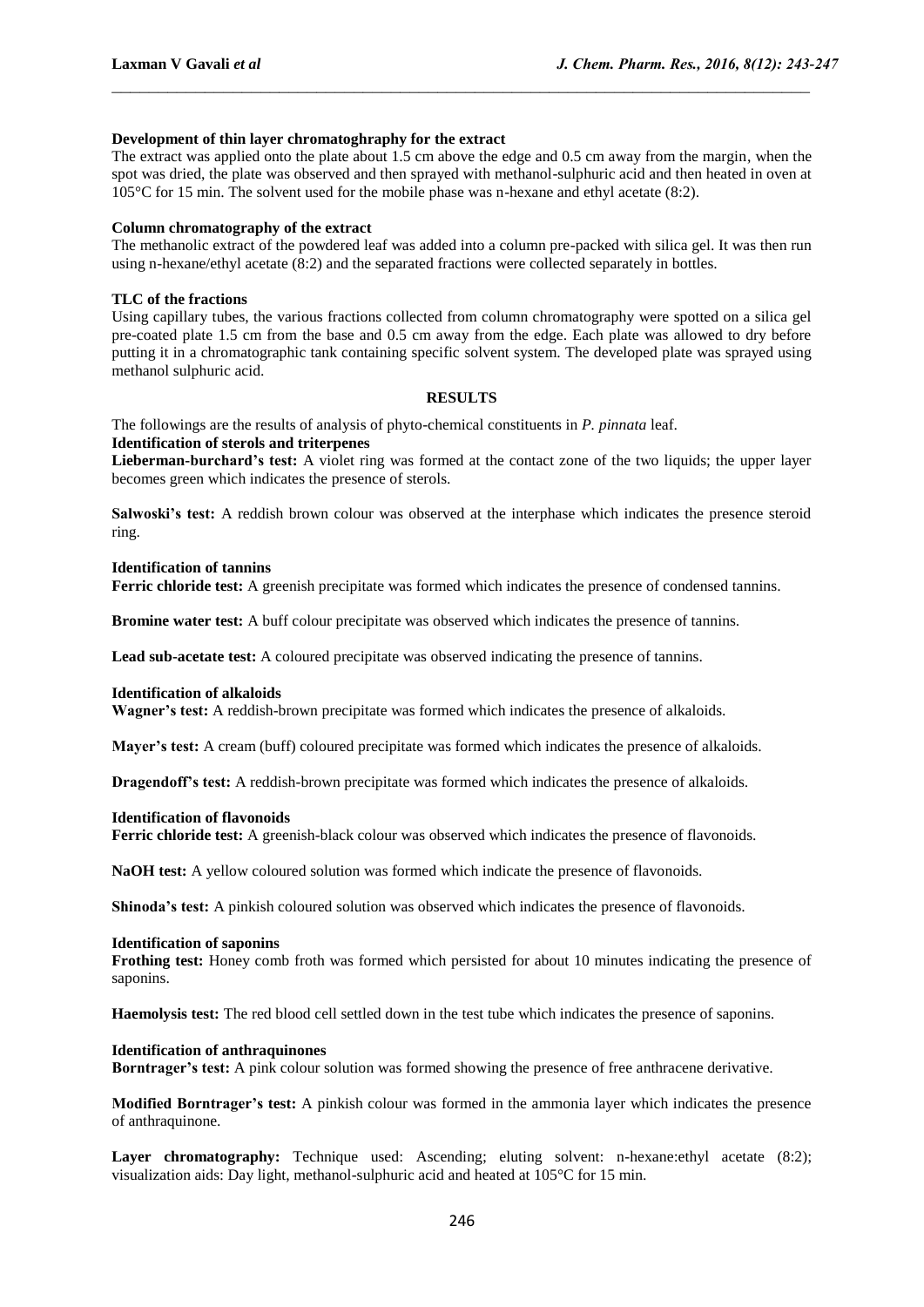#### **Development of thin layer chromatoghraphy for the extract**

The extract was applied onto the plate about 1.5 cm above the edge and 0.5 cm away from the margin, when the spot was dried, the plate was observed and then sprayed with methanol-sulphuric acid and then heated in oven at 105°C for 15 min. The solvent used for the mobile phase was n-hexane and ethyl acetate (8:2).

 $\_$  , and the contribution of the contribution of  $\mathcal{L}_\mathcal{A}$  , and the contribution of  $\mathcal{L}_\mathcal{A}$ 

#### **Column chromatography of the extract**

The methanolic extract of the powdered leaf was added into a column pre-packed with silica gel. It was then run using n-hexane/ethyl acetate (8:2) and the separated fractions were collected separately in bottles.

#### **TLC of the fractions**

Using capillary tubes, the various fractions collected from column chromatography were spotted on a silica gel pre-coated plate 1.5 cm from the base and 0.5 cm away from the edge. Each plate was allowed to dry before putting it in a chromatographic tank containing specific solvent system. The developed plate was sprayed using methanol sulphuric acid.

#### **RESULTS**

The followings are the results of analysis of phyto-chemical constituents in *P. pinnata* leaf. **Identification of sterols and triterpenes** 

**Lieberman-burchard's test:** A violet ring was formed at the contact zone of the two liquids; the upper layer becomes green which indicates the presence of sterols.

**Salwoski's test:** A reddish brown colour was observed at the interphase which indicates the presence steroid ring.

#### **Identification of tannins**

**Ferric chloride test:** A greenish precipitate was formed which indicates the presence of condensed tannins.

**Bromine water test:** A buff colour precipitate was observed which indicates the presence of tannins.

**Lead sub-acetate test:** A coloured precipitate was observed indicating the presence of tannins.

#### **Identification of alkaloids**

**Wagner's test:** A reddish-brown precipitate was formed which indicates the presence of alkaloids.

**Mayer's test:** A cream (buff) coloured precipitate was formed which indicates the presence of alkaloids.

**Dragendoff's test:** A reddish-brown precipitate was formed which indicates the presence of alkaloids.

#### **Identification of flavonoids**

**Ferric chloride test:** A greenish-black colour was observed which indicates the presence of flavonoids.

**NaOH test:** A yellow coloured solution was formed which indicate the presence of flavonoids.

**Shinoda's test:** A pinkish coloured solution was observed which indicates the presence of flavonoids.

#### **Identification of saponins**

**Frothing test:** Honey comb froth was formed which persisted for about 10 minutes indicating the presence of saponins.

**Haemolysis test:** The red blood cell settled down in the test tube which indicates the presence of saponins.

#### **Identification of anthraquinones**

**Borntrager's test:** A pink colour solution was formed showing the presence of free anthracene derivative.

**Modified Borntrager's test:** A pinkish colour was formed in the ammonia layer which indicates the presence of anthraquinone.

Layer chromatography: Technique used: Ascending; eluting solvent: n-hexane:ethyl acetate (8:2); visualization aids: Day light, methanol-sulphuric acid and heated at 105°C for 15 min.